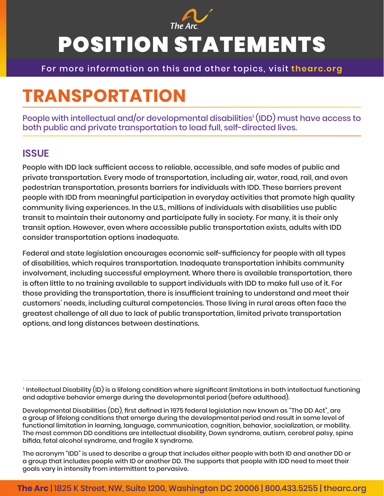

# POSITION STATEMENTS

For more information on this and other topics, visit **thearc.org**

## **TRANSPORTATION**

People with intellectual and/or developmental disabilities' (IDD) must have access to both public and private transportation to lead full, self-directed lives.

#### **ISSUE**

People with IDD lack sufficient access to reliable, accessible, and safe modes of public and private transportation. Every mode of transportation, including air, water, road, rail, and even pedestrian transportation, presents barriers for individuals with IDD. These barriers prevent people with IDD from meaningful participation in everyday activities that promote high quality community living experiences. In the U.S., millions of individuals with disabilities use public transit to maintain their autonomy and participate fully in society. For many, it is their only transit option. However, even where accessible public transportation exists, adults with IDD consider transportation options inadequate.

Federal and state legislation encourages economic self-sufficiency for people with all types of disabilities, which requires transportation. Inadequate transportation inhibits community involvement, including successful employment. Where there is available transportation, there is often little to no training available to support individuals with IDD to make full use of it. For those providing the transportation, there is insufficient training to understand and meet their customers' needs, including cultural competencies. Those living in rural areas often face the greatest challenge of all due to lack of public transportation, limited private transportation options, and long distances between destinations.

1 Intellectual Disability (ID) is a lifelong condition where significant limitations in both intellectual functioning and adaptive behavior emerge during the developmental period (before adulthood).

Developmental Disabilities (DD), first defined in 1975 federal legislation now known as "The DD Act", are a group of lifelong conditions that emerge during the developmental period and result in some level of functional limitation in learning, language, communication, cognition, behavior, socialization, or mobility. The most common DD conditions are intellectual disability, Down syndrome, autism, cerebral palsy, spina bifida, fetal alcohol syndrome, and fragile X syndrome.

The acronym "IDD" is used to describe a group that includes either people with both ID and another DD or a group that includes people with ID or another DD. The supports that people with IDD need to meet their goals vary in intensity from intermittent to pervasive.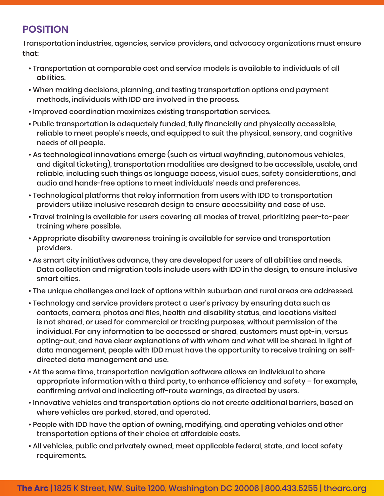### **POSITION**

Transportation industries, agencies, service providers, and advocacy organizations must ensure that:

- Transportation at comparable cost and service models is available to individuals of all abilities.
- When making decisions, planning, and testing transportation options and payment methods, individuals with IDD are involved in the process.
- Improved coordination maximizes existing transportation services.
- Public transportation is adequately funded, fully financially and physically accessible, reliable to meet people's needs, and equipped to suit the physical, sensory, and cognitive needs of all people.
- As technological innovations emerge (such as virtual wayfinding, autonomous vehicles, and digital ticketing), transportation modalities are designed to be accessible, usable, and reliable, including such things as language access, visual cues, safety considerations, and audio and hands-free options to meet individuals' needs and preferences.
- Technological platforms that relay information from users with IDD to transportation providers utilize inclusive research design to ensure accessibility and ease of use.
- Travel training is available for users covering all modes of travel, prioritizing peer-to-peer training where possible.
- Appropriate disability awareness training is available for service and transportation providers.
- As smart city initiatives advance, they are developed for users of all abilities and needs. Data collection and migration tools include users with IDD in the design, to ensure inclusive smart cities.
- The unique challenges and lack of options within suburban and rural areas are addressed.
- Technology and service providers protect a user's privacy by ensuring data such as contacts, camera, photos and files, health and disability status, and locations visited is not shared, or used for commercial or tracking purposes, without permission of the individual. For any information to be accessed or shared, customers must opt-in, versus opting-out, and have clear explanations of with whom and what will be shared. In light of data management, people with IDD must have the opportunity to receive training on selfdirected data management and use.
- At the same time, transportation navigation software allows an individual to share appropriate information with a third party, to enhance efficiency and safety – for example, confirming arrival and indicating off-route warnings, as directed by users.
- Innovative vehicles and transportation options do not create additional barriers, based on where vehicles are parked, stored, and operated.
- People with IDD have the option of owning, modifying, and operating vehicles and other transportation options of their choice at affordable costs.
- All vehicles, public and privately owned, meet applicable federal, state, and local safety requirements.